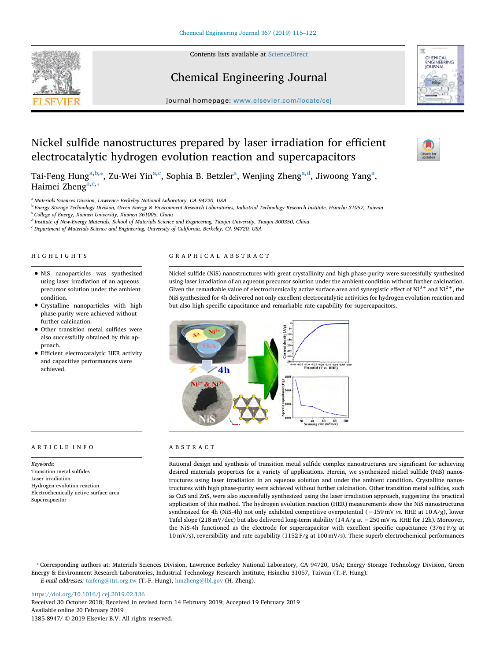Contents lists available at [ScienceDirect](http://www.sciencedirect.com/science/journal/13858947)



# Chemical Engineering Journal



journal homepage: [www.elsevier.com/locate/cej](https://www.elsevier.com/locate/cej)

## Nickel sulfide nanostructures prepared by laser irradiation for efficient electrocatalytic hydrogen evolution reaction and supercapacitors

T[a](#page-0-0)i-Feng Hung<sup>a[,b,](#page-0-1)</sup>\*, Zu-Wei Yin<sup>[a,](#page-0-0)[c](#page-0-3)</sup>, Sophia B. Betzler<sup>a</sup>, Wenjing Zheng<sup>a,[d](#page-0-4)</sup>, Jiwoong Yang<sup>a</sup>, Haimei Zheng $a,e,*$  $a,e,*$  $a,e,*$ 

<span id="page-0-0"></span><sup>a</sup> *Materials Sciences Division, Lawrence Berkeley National Laboratory, CA 94720, USA*

<span id="page-0-1"></span><sup>b</sup> *Energy Storage Technology Division, Green Energy & Environment Research Laboratories, Industrial Technology Research Institute, Hsinchu 31057, Taiwan*

<span id="page-0-3"></span><sup>c</sup> *College of Energy, Xiamen University, Xiamen 361005, China*

<span id="page-0-4"></span><sup>d</sup> *Institute of New-Energy Materials, School of Materials Science and Engineering, Tianjin University, Tianjin 300350, China*

<span id="page-0-5"></span><sup>e</sup> *Department of Materials Science and Engineering, University of California, Berkeley, CA 94720, USA*

#### HIGHLIGHTS

- NiS nanoparticles was synthesized using laser irradiation of an aqueous precursor solution under the ambient condition.
- Crystalline nanoparticles with high phase-purity were achieved without further calcination.
- Other transition metal sulfides were also successfully obtained by this approach.
- Efficient electrocatalytic HER activity and capacitive performances were achieved.

## ARTICLE INFO

*Keywords:* Transition metal sulfides Laser irradiation Hydrogen evolution reaction Electrochemically active surface area Supercapacitor

#### GRAPHICAL ABSTRACT

Nickel sulfide (NiS) nanostructures with great crystallinity and high phase-purity were successfully synthesized using laser irradiation of an aqueous precursor solution under the ambient condition without further calcination. Given the remarkable value of electrochemically active surface area and synergistic effect of Ni<sup>3+</sup> and Ni<sup>2+</sup>, the NiS synthesized for 4h delivered not only excellent electrocatalytic activities for hydrogen evolution reaction and but also high specific capacitance and remarkable rate capability for supercapacitors.



#### ABSTRACT

Rational design and synthesis of transition metal sulfide complex nanostructures are significant for achieving desired materials properties for a variety of applications. Herein, we synthesized nickel sulfide (NiS) nanostructures using laser irradiation in an aqueous solution and under the ambient condition. Crystalline nanostructures with high phase-purity were achieved without further calcination. Other transition metal sulfides, such as CuS and ZnS, were also successfully synthesized using the laser irradiation approach, suggesting the practical application of this method. The hydrogen evolution reaction (HER) measurements show the NiS nanostructures synthesized for 4h (NiS-4h) not only exhibited competitive overpotential (−159 mV *vs*. RHE at 10 A/g), lower Tafel slope (218 mV/dec) but also delivered long-term stability (14 A/g at −250 mV *vs.* RHE for 12h). Moreover, the NiS-4h functioned as the electrode for supercapacitor with excellent specific capacitance (3761 F/g at 10 mV/s), reversibility and rate capability (1152 F/g at 100 mV/s). These superb electrochemical performances

<https://doi.org/10.1016/j.cej.2019.02.136>

Received 30 October 2018; Received in revised form 14 February 2019; Accepted 19 February 2019 Available online 20 February 2019 1385-8947/ © 2019 Elsevier B.V. All rights reserved.



<span id="page-0-2"></span><sup>⁎</sup> Corresponding authors at: Materials Sciences Division, Lawrence Berkeley National Laboratory, CA 94720, USA; Energy Storage Technology Division, Green Energy & Environment Research Laboratories, Industrial Technology Research Institute, Hsinchu 31057, Taiwan (T.-F. Hung). *E-mail addresses:* [taifeng@itri.org.tw](mailto:taifeng@itri.org.tw) (T.-F. Hung), [hmzheng@lbl.gov](mailto:hmzheng@lbl.gov) (H. Zheng).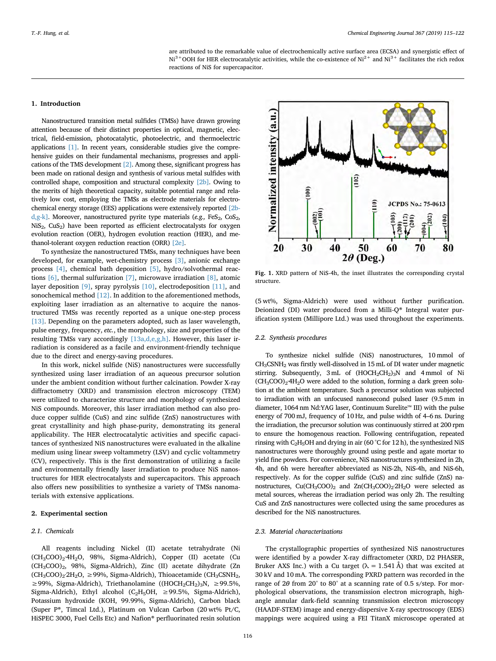are attributed to the remarkable value of electrochemically active surface area (ECSA) and synergistic effect of  $Ni<sup>3+</sup>$  OOH for HER electrocatalytic activities, while the co-existence of Ni<sup>2+</sup> and Ni<sup>3+</sup> facilitates the rich redox reactions of NiS for supercapacitor.

### **1. Introduction**

Nanostructured transition metal sulfides (TMSs) have drawn growing attention because of their distinct properties in optical, magnetic, electrical, field-emission, photocatalytic, photoelectric, and thermoelectric applications [\[1\].](#page-6-0) In recent years, considerable studies give the comprehensive guides on their fundamental mechanisms, progresses and applications of the TMS development [\[2\]](#page-6-1). Among these, significant progress has been made on rational design and synthesis of various metal sulfides with controlled shape, composition and structural complexity [2b]. Owing to the merits of high theoretical capacity, suitable potential range and relatively low cost, employing the TMSs as electrode materials for electrochemical energy storage (EES) applications were extensively reported [2b $d, g-k$ ]. Moreover, nanostructured pyrite type materials (*e.g.,* FeS<sub>2</sub>, CoS<sub>2</sub>,  $NiS<sub>2</sub>$ ,  $CuS<sub>2</sub>$ ) have been reported as efficient electrocatalysts for oxygen evolution reaction (OER), hydrogen evolution reaction (HER), and methanol-tolerant oxygen reduction reaction (ORR) [2e].

To synthesize the nanostructured TMSs, many techniques have been developed, for example, wet-chemistry process [\[3\]](#page-6-2), anionic exchange process [\[4\]](#page-6-3), chemical bath deposition [\[5\],](#page-6-4) hydro/solvothermal reactions [\[6\],](#page-6-5) thermal sulfurization [\[7\],](#page-7-0) microwave irradiation [\[8\],](#page-7-1) atomic layer deposition [\[9\],](#page-7-2) spray pyrolysis [\[10\]](#page-7-3), electrodeposition [\[11\]](#page-7-4), and sonochemical method [\[12\].](#page-7-5) In addition to the aforementioned methods, exploiting laser irradiation as an alternative to acquire the nanostructured TMSs was recently reported as a unique one-step process [\[13\]](#page-7-6). Depending on the parameters adopted, such as laser wavelength, pulse energy, frequency, *etc.*, the morphology, size and properties of the resulting TMSs vary accordingly  $[13a,d,e,g,h]$ . However, this laser irradiation is considered as a facile and environment-friendly technique due to the direct and energy-saving procedures.

In this work, nickel sulfide (NiS) nanostructures were successfully synthesized using laser irradiation of an aqueous precursor solution under the ambient condition without further calcination. Powder X-ray diffractometry (XRD) and transmission electron microscopy (TEM) were utilized to characterize structure and morphology of synthesized NiS compounds. Moreover, this laser irradiation method can also produce copper sulfide (CuS) and zinc sulfide (ZnS) nanostructures with great crystallinity and high phase-purity, demonstrating its general applicability. The HER electrocatalytic activities and specific capacitances of synthesized NiS nanostructures were evaluated in the alkaline medium using linear sweep voltammetry (LSV) and cyclic voltammetry (CV), respectively. This is the first demonstration of utilizing a facile and environmentally friendly laser irradiation to produce NiS nanostructures for HER electrocatalysts and supercapacitors. This approach also offers new possibilities to synthesize a variety of TMSs nanomaterials with extensive applications.

### **2. Experimental section**

#### *2.1. Chemicals*

All reagents including Nickel (II) acetate tetrahydrate (Ni  $(CH<sub>3</sub>COO)<sub>2</sub>·4H<sub>2</sub>O$ , 98%, Sigma-Aldrich), Copper (II) acetate (Cu (CH3COO)2, 98%, Sigma-Aldrich), Zinc (II) acetate dihydrate (Zn  $(CH_3COO)_2$ <sup>2</sup>H<sub>2</sub>O,  $\geq$ 99%, Sigma-Aldrich), Thioacetamide (CH<sub>3</sub>CSNH<sub>2</sub>, ≥99%, Sigma-Aldrich), Triethanolamine ((HOCH<sub>2</sub>CH<sub>2</sub>)<sub>3</sub>N, ≥99.5%, Sigma-Aldrich), Ethyl alcohol (C<sub>2</sub>H<sub>5</sub>OH,  $\geq$ 99.5%, Sigma-Aldrich), Potassium hydroxide (KOH, 99.99%, Sigma-Aldrich), Carbon black (Super P®, Timcal Ltd.), Platinum on Vulcan Carbon (20 wt% Pt/C, HiSPEC 3000, Fuel Cells Etc) and Nafion® perfluorinated resin solution

<span id="page-1-0"></span>

Fig. 1. XRD pattern of NiS-4h, the inset illustrates the corresponding crystal structure.

(5 wt%, Sigma-Aldrich) were used without further purification. Deionized (DI) water produced from a Milli-Q® Integral water purification system (Millipore Ltd.) was used throughout the experiments.

#### *2.2. Synthesis procedures*

To synthesize nickel sulfide (NiS) nanostructures, 10 mmol of CH3CSNH2 was firstly well-dissolved in 15 mL of DI water under magnetic stirring. Subsequently,  $3 \text{ mL}$  of  $(HOCH_2CH_2)_3N$  and  $4 \text{ mmol}$  of Ni  $(CH_3COO)_2$ <sup>4</sup>H<sub>2</sub>O were added to the solution, forming a dark green solution at the ambient temperature. Such a precursor solution was subjected to irradiation with an unfocused nanosecond pulsed laser (9.5 mm in diameter, 1064 nm Nd:YAG laser, Continuum Surelite™ III) with the pulse energy of 700 mJ, frequency of 10 Hz, and pulse width of 4–6 ns. During the irradiation, the precursor solution was continuously stirred at 200 rpm to ensure the homogenous reaction. Following centrifugation, repeated rinsing with C<sub>2</sub>H<sub>5</sub>OH and drying in air (60 °C for 12 h), the synthesized NiS nanostructures were thoroughly ground using pestle and agate mortar to yield fine powders. For convenience, NiS nanostructures synthesized in 2h, 4h, and 6h were hereafter abbreviated as NiS-2h, NiS-4h, and NiS-6h, respectively. As for the copper sulfide (CuS) and zinc sulfide (ZnS) nanostructures,  $Cu(CH_3COO)_2$  and  $Zn(CH_3COO)_2.2H_2O$  were selected as metal sources, whereas the irradiation period was only 2h. The resulting CuS and ZnS nanostructures were collected using the same procedures as described for the NiS nanostructures.

#### *2.3. Material characterizations*

The crystallographic properties of synthesized NiS nanostructures were identified by a powder X-ray diffractometer (XRD, D2 PHASER, Bruker AXS Inc.) with a Cu target ( $\lambda = 1.541 \text{ Å}$ ) that was excited at 30 kV and 10 mA. The corresponding PXRD pattern was recorded in the range of 2*θ* from 20° to 80° at a scanning rate of 0.5 s/step. For morphological observations, the transmission electron micrograph, highangle annular dark-field scanning transmission electron microscopy (HAADF-STEM) image and energy-dispersive X-ray spectroscopy (EDS) mappings were acquired using a FEI TitanX microscope operated at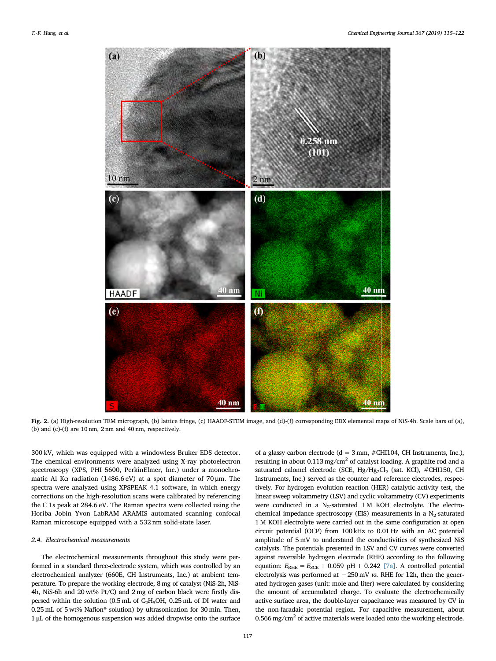<span id="page-2-0"></span>

**Fig. 2.** (a) High-resolution TEM micrograph, (b) lattice fringe, (c) HAADF-STEM image, and (d)-(f) corresponding EDX elemental maps of NiS-4h. Scale bars of (a), (b) and (c)-(f) are 10 nm, 2 nm and 40 nm, respectively.

300 kV, which was equipped with a windowless Bruker EDS detector. The chemical environments were analyzed using X-ray photoelectron spectroscopy (XPS, PHI 5600, PerkinElmer, Inc.) under a monochromatic Al Kα radiation (1486.6 eV) at a spot diameter of 70 μm. The spectra were analyzed using XPSPEAK 4.1 software, in which energy corrections on the high-resolution scans were calibrated by referencing the C 1s peak at 284.6 eV. The Raman spectra were collected using the Horiba Jobin Yvon LabRAM ARAMIS automated scanning confocal Raman microscope equipped with a 532 nm solid-state laser.

#### *2.4. Electrochemical measurements*

The electrochemical measurements throughout this study were performed in a standard three-electrode system, which was controlled by an electrochemical analyzer (660E, CH Instruments, Inc.) at ambient temperature. To prepare the working electrode, 8 mg of catalyst (NiS-2h, NiS-4h, NiS-6h and 20 wt% Pt/C) and 2 mg of carbon black were firstly dispersed within the solution (0.5 mL of  $C_2H_5OH$ , 0.25 mL of DI water and 0.25 mL of 5 wt% Nafion® solution) by ultrasonication for 30 min. Then, 1 μL of the homogenous suspension was added dropwise onto the surface

of a glassy carbon electrode ( $d = 3$  mm,  $#CHI104$ , CH Instruments, Inc.), resulting in about 0.113 mg/cm<sup>2</sup> of catalyst loading. A graphite rod and a saturated calomel electrode (SCE,  $Hg/Hg_2Cl_2$  (sat. KCl), #CHI150, CH Instruments, Inc.) served as the counter and reference electrodes, respectively. For hydrogen evolution reaction (HER) catalytic activity test, the linear sweep voltammetry (LSV) and cyclic voltammetry (CV) experiments were conducted in a  $N_2$ -saturated 1 M KOH electrolyte. The electrochemical impedance spectroscopy (EIS) measurements in a  $N_2$ -saturated 1 M KOH electrolyte were carried out in the same configuration at open circuit potential (OCP) from 100 kHz to 0.01 Hz with an AC potential amplitude of 5 mV to understand the conductivities of synthesized NiS catalysts. The potentials presented in LSV and CV curves were converted against reversible hydrogen electrode (RHE) according to the following equation:  $E_{RHE} = E_{SCE} + 0.059$  pH + 0.242 [7a]. A controlled potential electrolysis was performed at −250 mV *vs.* RHE for 12h, then the generated hydrogen gases (unit: mole and liter) were calculated by considering the amount of accumulated charge. To evaluate the electrochemically active surface area, the double-layer capacitance was measured by CV in the non-faradaic potential region. For capacitive measurement, about 0.566 mg/cm<sup>2</sup> of active materials were loaded onto the working electrode.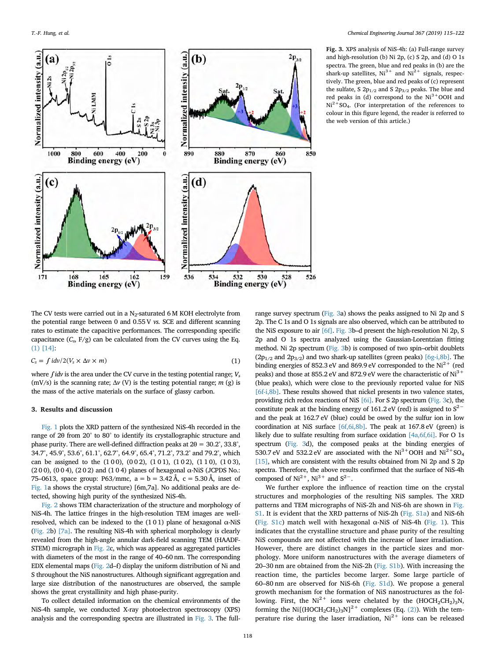<span id="page-3-1"></span>

**Fig. 3.** XPS analysis of NiS-4h: (a) Full-range survey and high-resolution (b) Ni 2p, (c) S 2p, and (d) O 1s spectra. The green, blue and red peaks in (b) are the shark-up satellites,  $Ni^{3+}$  and  $Ni^{2+}$  signals, respectively. The green, blue and red peaks of (c) represent the sulfate, S  $2\mathrm{p}_{\mathrm{1/2}}$  and S  $2\mathrm{p}_{\mathrm{3/2}}$  peaks. The blue and red peaks in (d) correspond to the  $Ni<sup>3+</sup>OOH$  and  $Ni^{2+}SO_4$ . (For interpretation of the references to colour in this figure legend, the reader is referred to the web version of this article.)

The CV tests were carried out in a  $N_2$ -saturated 6 M KOH electrolyte from the potential range between 0 and 0.55 V *vs.* SCE and different scanning rates to estimate the capacitive performances. The corresponding specific capacitance  $(C_s, F/g)$  can be calculated from the CV curves using the Eq. [\(1\)](#page-3-0) [\[14\]](#page-7-7):

<span id="page-3-0"></span>
$$
C_s = \int i dv/2(V_s \times \Delta v \times m) \tag{1}
$$

where  $\int$ *idv* is the area under the CV curve in the testing potential range;  $V_s$ (mV/s) is the scanning rate; Δ*v* (V) is the testing potential range; *m* (g) is the mass of the active materials on the surface of glassy carbon.

#### **3. Results and discussion**

[Fig. 1](#page-1-0) plots the XRD pattern of the synthesized NiS-4h recorded in the range of 2θ from 20° to 80° to identify its crystallographic structure and phase purity. There are well-defined diffraction peaks at 2θ = 30.2°, 33.8°, 34.7°, 45.9°, 53.6°, 61.1°, 62.7°, 64.9°, 65.4°, 71.2°, 73.2° and 79.2°, which can be assigned to the  $(100)$ ,  $(002)$ ,  $(101)$ ,  $(102)$ ,  $(110)$ ,  $(103)$ , (2 0 0), (0 0 4), (2 0 2) and (1 0 4) planes of hexagonal  $\alpha$ -NiS (JCPDS No.: 75–0613, space group: P63/mmc,  $a = b = 3.42 \text{ Å}$ ,  $c = 5.30 \text{ Å}$ , inset of [Fig. 1](#page-1-0)a shows the crystal structure) [6m,7a]. No additional peaks are detected, showing high purity of the synthesized NiS-4h.

[Fig. 2](#page-2-0) shows TEM characterization of the structure and morphology of NiS-4h. The lattice fringes in the high-resolution TEM images are wellresolved, which can be indexed to the  $(1\ 0\ 1)$  plane of hexagonal  $\alpha$ -NiS [\(Fig. 2](#page-2-0)b) [7a]. The resulting NiS-4h with spherical morphology is clearly revealed from the high-angle annular dark-field scanning TEM (HAADF-STEM) micrograph in [Fig. 2c](#page-2-0), which was appeared as aggregated particles with diameters of the most in the range of 40–60 nm. The corresponding EDX elemental maps ([Fig. 2d](#page-2-0)–f) display the uniform distribution of Ni and S throughout the NiS nanostructures. Although significant aggregation and large size distribution of the nanostructures are observed, the sample shows the great crystallinity and high phase-purity.

To collect detailed information on the chemical environments of the NiS-4h sample, we conducted X-ray photoelectron spectroscopy (XPS) analysis and the corresponding spectra are illustrated in [Fig. 3](#page-3-1). The fullrange survey spectrum [\(Fig. 3a](#page-3-1)) shows the peaks assigned to Ni 2p and S 2p. The C 1s and O 1s signals are also observed, which can be attributed to the NiS exposure to air [6f]. [Fig. 3b](#page-3-1)–d present the high-resolution Ni 2p, S 2p and O 1s spectra analyzed using the Gaussian-Lorentzian fitting method. Ni 2p spectrum [\(Fig. 3](#page-3-1)b) is composed of two spin–orbit doublets  $(2p_{1/2}$  and  $2p_{3/2})$  and two shark-up satellites (green peaks)  $[6g-i,8b]$ . The binding energies of 852.3 eV and 869.9 eV corresponded to the  $Ni^{2+}$  (red peaks) and those at 855.2 eV and 872.9 eV were the characteristic of Ni<sup>3+</sup> (blue peaks), which were close to the previously reported value for NiS [6f-i,8b]. These results showed that nickel presents in two valence states, providing rich redox reactions of NiS [6i]. For S 2p spectrum [\(Fig. 3](#page-3-1)c), the constitute peak at the binding energy of 161.2 eV (red) is assigned to  $S<sup>2−</sup>$ and the peak at 162.7 eV (blue) could be owed by the sulfur ion in low coordination at NiS surface [6f,6i,8b]. The peak at 167.8 eV (green) is likely due to sulfate resulting from surface oxidation [4a,6f,6i]. For O 1s spectrum ([Fig. 3](#page-3-1)d), the composed peaks at the binding energies of 530.7 eV and 532.2 eV are associated with the  $\mathrm{Ni^{3+}OOH}$  and  $\mathrm{Ni^{2+}SO_{4}}$ [\[15\],](#page-7-8) which are consistent with the results obtained from Ni 2p and S 2p spectra. Therefore, the above results confirmed that the surface of NiS-4h composed of  $Ni^{2+}$ ,  $Ni^{3+}$  and  $S^{2-}$ .

We further explore the influence of reaction time on the crystal structures and morphologies of the resulting NiS samples. The XRD patterns and TEM micrographs of NiS-2h and NiS-6h are shown in Fig. S1. It is evident that the XRD patterns of NiS-2h (Fig. S1a) and NiS-6h (Fig. S1c) match well with hexagonal  $\alpha$ -NiS of NiS-4h ([Fig. 1\)](#page-1-0). This indicates that the crystalline structure and phase purity of the resulting NiS compounds are not affected with the increase of laser irradiation. However, there are distinct changes in the particle sizes and morphology. More uniform nanostructures with the average diameters of 20–30 nm are obtained from the NiS-2h (Fig. S1b). With increasing the reaction time, the particles become larger. Some large particle of 60–80 nm are observed for NiS-6h (Fig. S1d). We propose a general growth mechanism for the formation of NiS nanostructures as the following. First, the Ni<sup>2+</sup> ions were chelated by the  $(HOCH_2CH_2)_3N$ , forming the Ni $[(HOCH_2CH_2)_3N]^2$ <sup>+</sup> complexes (Eq. [\(2\)](#page-4-0)). With the temperature rise during the laser irradiation,  $Ni^{2+}$  ions can be released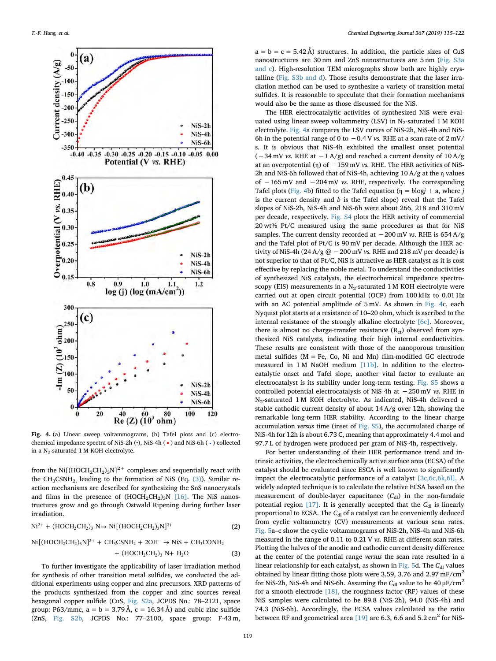<span id="page-4-2"></span>

Fig. 4. (a) Linear sweep voltammograms, (b) Tafel plots and (c) electrochemical impedance spectra of NiS-2h ( $\cdot$ ), NiS-4h ( $\cdot$ ) and NiS-6h ( $\cdot$ ) collected in a  $N_2$ -saturated 1 M KOH electrolyte.

from the Ni[(HOCH<sub>2</sub>CH<sub>2</sub>)<sub>3</sub>N]<sup>2+</sup> complexes and sequentially react with the  $CH_3CSNH_2$  leading to the formation of NiS (Eq. [\(3\)\)](#page-4-1). Similar reaction mechanisms are described for synthesizing the SnS nanocrystals and films in the presence of  $(HOCH<sub>2</sub>CH<sub>2</sub>)<sub>3</sub>N$  [\[16\].](#page-7-9) The NiS nanostructures grow and go through Ostwald Ripening during further laser irradiation.

<span id="page-4-1"></span><span id="page-4-0"></span>
$$
Ni^{2+} + (HOCH_2CH_2)_3 N \to Ni[(HOCH_2CH_2)_3N]^{2+}
$$
 (2)

$$
Ni[(HOCH_2CH_2)_3N]^{2+} + CH_3CNH_2 + 2OH^- \rightarrow NiS + CH_3CONH_2 + (HOCH_2CH_2)_3 N + H_2O
$$
\n(3)

To further investigate the applicability of laser irradiation method for synthesis of other transition metal sulfides, we conducted the additional experiments using copper and zinc precursors. XRD patterns of the products synthesized from the copper and zinc sources reveal hexagonal copper sulfide (CuS, Fig. S2a, JCPDS No.: 78–2121, space group: P63/mmc,  $a = b = 3.79 \text{ Å}$ ,  $c = 16.34 \text{ Å}$ ) and cubic zinc sulfide (ZnS, Fig. S2b, JCPDS No.: 77–2100, space group: F-43 m,

 $a = b = c = 5.42 \text{ Å}$ ) structures. In addition, the particle sizes of CuS nanostructures are 30 nm and ZnS nanostructures are 5 nm (Fig. S3a and c). High-resolution TEM micrographs show both are highly crystalline (Fig. S3b and d). Those results demonstrate that the laser irradiation method can be used to synthesize a variety of transition metal sulfides. It is reasonable to speculate that their formation mechanisms would also be the same as those discussed for the NiS.

The HER electrocatalytic activities of synthesized NiS were evaluated using linear sweep voltammetry (LSV) in  $N_2$ -saturated 1 M KOH electrolyte. [Fig. 4](#page-4-2)a compares the LSV curves of NiS-2h, NiS-4h and NiS-6h in the potential range of 0 to  $-0.4$  V *vs*. RHE at a scan rate of  $2 \text{ mV}$ s. It is obvious that NiS-4h exhibited the smallest onset potential  $(-34 \text{ mV} \text{ vs. RHE at } -1 \text{ A/g})$  and reached a current density of  $10 \text{ A/g}$ at an overpotential (η) of −159 mV *vs.* RHE. The HER activities of NiS-2h and NiS-6h followed that of NiS-4h, achieving 10 A/g at the η values of −165 mV and −204 mV *vs.* RHE, respectively. The corresponding Tafel plots [\(Fig. 4](#page-4-2)b) fitted to the Tafel equation ( $\eta = b \log j + a$ , where *j* is the current density and *b* is the Tafel slope) reveal that the Tafel slopes of NiS-2h, NiS-4h and NiS-6h were about 266, 218 and 310 mV per decade, respectively. Fig. S4 plots the HER activity of commercial 20 wt% Pt/C measured using the same procedures as that for NiS samples. The current density recorded at −200 mV *vs*. RHE is 654 A/g and the Tafel plot of Pt/C is 90 mV per decade. Although the HER activity of NiS-4h ( $24$  A/g  $@ -200$  mV *vs.* RHE and  $218$  mV per decade) is not superior to that of Pt/C, NiS is attractive as HER catalyst as it is cost effective by replacing the noble metal. To understand the conductivities of synthesized NiS catalysts, the electrochemical impedance spectroscopy (EIS) measurements in a  $N_2$ -saturated 1 M KOH electrolyte were carried out at open circuit potential (OCP) from 100 kHz to 0.01 Hz with an AC potential amplitude of 5 mV. As shown in [Fig. 4c](#page-4-2), each Nyquist plot starts at a resistance of 10–20 ohm, which is ascribed to the internal resistance of the strongly alkaline electrolyte [6c]. Moreover, there is almost no charge-transfer resistance  $(R<sub>ct</sub>)$  observed from synthesized NiS catalysts, indicating their high internal conductivities. These results are consistent with those of the nanoporous transition metal sulfides (M = Fe, Co, Ni and Mn) film-modified GC electrode measured in 1 M NaOH medium [11b]. In addition to the electrocatalytic onset and Tafel slope, another vital factor to evaluate an electrocatalyst is its stability under long-term testing. Fig. S5 shows a controlled potential electrocatalysis of NiS-4h at −250 mV *vs.* RHE in N2-saturated 1 M KOH electrolyte. As indicated, NiS-4h delivered a stable cathodic current density of about 14 A/g over 12h, showing the remarkable long-term HER stability. According to the linear charge accumulation *versus* time (inset of Fig. S5), the accumulated charge of NiS-4h for 12h is about 6.73 C, meaning that approximately 4.4 mol and 97.7 L of hydrogen were produced per gram of NiS-4h, respectively.

For better understanding of their HER performance trend and intrinsic activities, the electrochemically active surface area (ECSA) of the catalyst should be evaluated since ESCA is well known to significantly impact the electrocatalytic performance of a catalyst [3c,6c,6k,6l]. A widely adopted technique is to calculate the relative ECSA based on the measurement of double-layer capacitance  $(C_{d})$  in the non-faradaic potential region  $[17]$ . It is generally accepted that the  $C_{d}$  is linearly proportional to ECSA. The C<sub>dl</sub> of a catalyst can be conveniently deduced from cyclic voltammetry (CV) measurements at various scan rates. [Fig. 5](#page-5-0)a–c show the cyclic voltammograms of NiS-2h, NiS-4h and NiS-6h measured in the range of 0.11 to 0.21 V *vs.* RHE at different scan rates. Plotting the halves of the anodic and cathodic current density difference at the center of the potential range *versus* the scan rate resulted in a linear relationship for each catalyst, as shown in [Fig. 5d](#page-5-0). The C<sub>dl</sub> values obtained by linear fitting those plots were 3.59, 3.76 and 2.97  $mF/cm<sup>2</sup>$ for NiS-2h, NiS-4h and NiS-6h. Assuming the  $C_{\rm dl}$  value to be 40  $\mu$ F/cm<sup>2</sup> for a smooth electrode  $[18]$ , the roughness factor (RF) values of these NiS samples were calculated to be 89.8 (NiS-2h), 94.0 (NiS-4h) and 74.3 (NiS-6h). Accordingly, the ECSA values calculated as the ratio between RF and geometrical area  $[19]$  are 6.3, 6.6 and 5.2 cm<sup>2</sup> for NiS-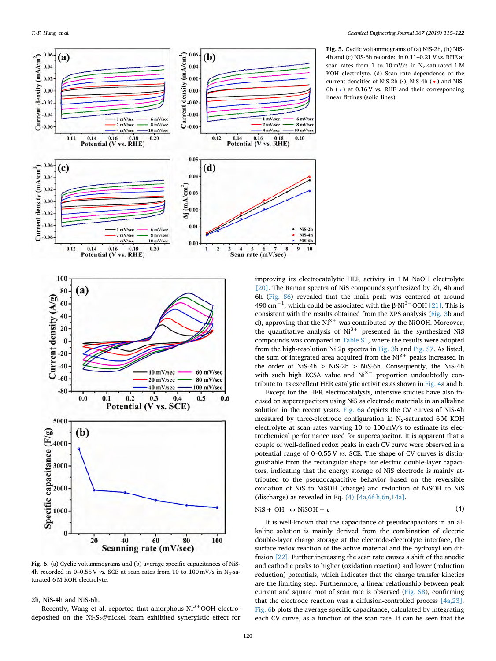<span id="page-5-0"></span>

<span id="page-5-1"></span>

**Fig. 6.** (a) Cyclic voltammograms and (b) average specific capacitances of NiS-4h recorded in 0-0.55 V *vs*. SCE at scan rates from 10 to  $100 \text{ mV/s}$  in N<sub>2</sub>-saturated 6 M KOH electrolyte.

2h, NiS-4h and NiS-6h.

Recently, Wang et al. reported that amorphous  $Ni<sup>3+</sup>OOH$  electrodeposited on the  $Ni<sub>3</sub>S<sub>2</sub>@nickel$  foam exhibited synergistic effect for

**Fig. 5.** Cyclic voltammograms of (a) NiS-2h, (b) NiS-4h and (c) NiS-6h recorded in 0.11–0.21 V *vs.* RHE at scan rates from 1 to  $10 \text{ mV/s}$  in N<sub>2</sub>-saturated 1 M KOH electrolyte. (d) Scan rate dependence of the current densities of NiS-2h  $(\cdot)$ , NiS-4h  $(\cdot)$  and NiS-6h ( ) at 0.16 V *vs.* RHE and their corresponding linear fittings (solid lines).

improving its electrocatalytic HER activity in 1 M NaOH electrolyte [\[20\]](#page-7-13). The Raman spectra of NiS compounds synthesized by 2h, 4h and 6h (Fig. S6) revealed that the main peak was centered at around 490 cm<sup>-1</sup>, which could be associated with the β-Ni<sup>3+</sup>OOH [\[21\].](#page-7-14) This is consistent with the results obtained from the XPS analysis ([Fig. 3b](#page-3-1) and d), approving that the  $Ni^{3+}$  was contributed by the NiOOH. Moreover, the quantitative analysis of  $Ni^{3+}$  presented in the synthesized NiS compounds was compared in Table S1, where the results were adopted from the high-resolution Ni 2p spectra in [Fig. 3](#page-3-1)b and Fig. S7. As listed, the sum of integrated area acquired from the  $Ni<sup>3+</sup>$  peaks increased in the order of NiS-4h > NiS-2h > NiS-6h. Consequently, the NiS-4h with such high ECSA value and  $Ni<sup>3+</sup>$  proportion undoubtedly contribute to its excellent HER catalytic activities as shown in [Fig. 4](#page-4-2)a and b.

 $\overline{10}$ 

Except for the HER electrocatalysts, intensive studies have also focused on supercapacitors using NiS as electrode materials in an alkaline solution in the recent years. [Fig. 6a](#page-5-1) depicts the CV curves of NiS-4h measured by three-electrode configuration in  $N<sub>2</sub>$ -saturated 6 M KOH electrolyte at scan rates varying 10 to 100 mV/s to estimate its electrochemical performance used for supercapacitor. It is apparent that a couple of well-defined redox peaks in each CV curve were observed in a potential range of 0–0.55 V *vs.* SCE. The shape of CV curves is distinguishable from the rectangular shape for electric double-layer capacitors, indicating that the energy storage of NiS electrode is mainly attributed to the pseudocapacitive behavior based on the reversible oxidation of NiS to NiSOH (charge) and reduction of NiSOH to NiS (discharge) as revealed in Eq. [\(4\)](#page-5-2) [4a,6f-h,6n,14a].

<span id="page-5-2"></span>
$$
\text{NiS} + \text{OH}^- \leftrightarrow \text{NiSOH} + e^- \tag{4}
$$

It is well-known that the capacitance of pseudocapacitors in an alkaline solution is mainly derived from the combination of electric double-layer charge storage at the electrode-electrolyte interface, the surface redox reaction of the active material and the hydroxyl ion diffusion [\[22\]](#page-7-15). Further increasing the scan rate causes a shift of the anodic and cathodic peaks to higher (oxidation reaction) and lower (reduction reduction) potentials, which indicates that the charge transfer kinetics are the limiting step. Furthermore, a linear relationship between peak current and square root of scan rate is observed (Fig. S8), confirming that the electrode reaction was a diffusion-controlled process [4a,23]. [Fig. 6](#page-5-1)b plots the average specific capacitance, calculated by integrating each CV curve, as a function of the scan rate. It can be seen that the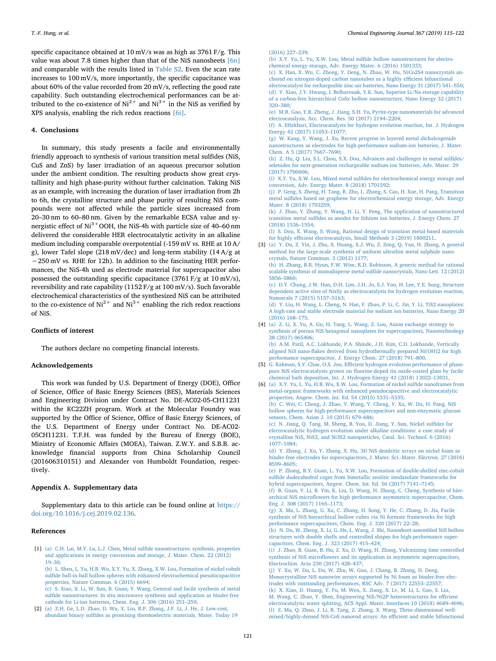specific capacitance obtained at  $10 \text{ mV/s}$  was as high as 3761 F/g. This value was about 7.8 times higher than that of the NiS nanosheets [6n] and comparable with the results listed in Table S2. Even the scan rate increases to 100 mV/s, more importantly, the specific capacitance was about 60% of the value recorded from 20 mV/s, reflecting the good rate capability. Such outstanding electrochemical performances can be attributed to the co-existence of  $Ni^{2+}$  and  $Ni^{3+}$  in the NiS as verified by XPS analysis, enabling the rich redox reactions [6i].

#### **4. Conclusions**

In summary, this study presents a facile and environmentally friendly approach to synthesis of various transition metal sulfides (NiS, CuS and ZnS) by laser irradiation of an aqueous precursor solution under the ambient condition. The resulting products show great crystallinity and high phase-purity without further calcination. Taking NiS as an example, with increasing the duration of laser irradiation from 2h to 6h, the crystalline structure and phase purity of resulting NiS compounds were not affected while the particle sizes increased from 20–30 nm to 60–80 nm. Given by the remarkable ECSA value and synergistic effect of  $Ni<sup>3+</sup>OOH$ , the NiS-4h with particle size of 40–60 nm delivered the considerable HER electrocatalytic activity in an alkaline medium including comparable overpotential (-159 mV *vs.* RHE at 10 A/ g), lower Tafel slope (218 mV/dec) and long-term stability (14 A/g at −250 mV *vs.* RHE for 12h). In addition to the fascinating HER performances, the NiS-4h used as electrode material for supercapacitor also possessed the outstanding specific capacitance (3761 F/g at 10 mV/s), reversibility and rate capability (1152 F/g at 100 mV/s). Such favorable electrochemical characteristics of the synthesized NiS can be attributed to the co-existence of  $Ni^{2+}$  and  $Ni^{3+}$  enabling the rich redox reactions of NiS.

#### **Conflicts of interest**

The authors declare no competing financial interests.

#### **Acknowledgements**

This work was funded by U.S. Department of Energy (DOE), Office of Science, Office of Basic Energy Sciences (BES), Materials Sciences and Engineering Division under Contract No. DE-AC02-05-CH11231 within the KC22ZH program. Work at the Molecular Foundry was supported by the Office of Science, Office of Basic Energy Sciences, of the U.S. Department of Energy under Contract No. DE-AC02- 05CH11231. T.F.H. was funded by the Bureau of Energy (BOE), Ministry of Economic Affairs (MOEA), Taiwan. Z.W.Y. and S.B.B. acknowledge financial supports from China Scholarship Council (201606310151) and Alexander von Humboldt Foundation, respectively.

#### **Appendix A. Supplementary data**

Supplementary data to this article can be found online at [https://](https://doi.org/10.1016/j.cej.2019.02.136) [doi.org/10.1016/j.cej.2019.02.136](https://doi.org/10.1016/j.cej.2019.02.136).

#### **References**

<span id="page-6-0"></span>[1] [\(a\) C.H. Lai, M.Y. Lu, L.J. Chen, Metal sulfide nanostructures: synthesis, properties](http://refhub.elsevier.com/S1385-8947(19)30375-4/h0005) [and applications in energy conversion and storage, J. Mater. Chem. 22 \(2012\)](http://refhub.elsevier.com/S1385-8947(19)30375-4/h0005)  $19-30$ 

[\(b\) L. Shen, L. Yu, H.B. Wu, X.Y. Yu, X. Zhang, X.W. Lou, Formation of nickel cobalt](http://refhub.elsevier.com/S1385-8947(19)30375-4/h0010) [sulfide ball-in-ball hollow spheres with enhanced electrochemical pseudocapacitive](http://refhub.elsevier.com/S1385-8947(19)30375-4/h0010) [properties, Nature Commun. 6 \(2015\) 6694;](http://refhub.elsevier.com/S1385-8947(19)30375-4/h0010)

[\(c\) S. Xiao, X. Li, W. Sun, B. Guan, Y. Wang, General and facile synthesis of metal](http://refhub.elsevier.com/S1385-8947(19)30375-4/h0015) [sulfide nanostructures: In situ microwave synthesis and application as binder-free](http://refhub.elsevier.com/S1385-8947(19)30375-4/h0015) [cathode for Li-ion batteries, Chem. Eng. J. 306 \(2016\) 251–259.](http://refhub.elsevier.com/S1385-8947(19)30375-4/h0015)

<span id="page-6-1"></span>[2] [\(a\) Z.H. Ge, L.D. Zhao, D. Wu, X. Liu, B.P. Zhang, J.F. Li, J. He, J. Low-cost,](http://refhub.elsevier.com/S1385-8947(19)30375-4/h0020) [abundant binary sulfides as promising thermoelectric materials, Mater. Today 19](http://refhub.elsevier.com/S1385-8947(19)30375-4/h0020)

#### [\(2016\) 227–239;](http://refhub.elsevier.com/S1385-8947(19)30375-4/h0020)

- [\(b\) X.Y. Yu, L. Yu, X.W. Lou, Metal sulfide hollow nanostructures for electro](http://refhub.elsevier.com/S1385-8947(19)30375-4/h0025)[chemical energy storage, Adv. Energy Mater. 6 \(2016\) 1501333;](http://refhub.elsevier.com/S1385-8947(19)30375-4/h0025)
- [\(c\) X. Han, X. Wu, C. Zhong, Y. Deng, N. Zhao, W. Hu, NiCo2S4 nanocrystals an](http://refhub.elsevier.com/S1385-8947(19)30375-4/h0030)[chored on nitrogen-doped carbon nanotubes as a highly efficient bifunctional](http://refhub.elsevier.com/S1385-8947(19)30375-4/h0030) [electrocatalyst for rechargeable zinc-air batteries, Nano Energy 31 \(2017\) 541–550;](http://refhub.elsevier.com/S1385-8947(19)30375-4/h0030)
- [\(d\) Y. Xiao, J.Y. Hwang, I. Belharouak, Y.K. Sun, Superior Li/Na-storage capability](http://refhub.elsevier.com/S1385-8947(19)30375-4/h0035) [of a carbon-free hierarchical CoSx hollow nanostructure, Nano Energy 32 \(2017\)](http://refhub.elsevier.com/S1385-8947(19)30375-4/h0035) [320–380;](http://refhub.elsevier.com/S1385-8947(19)30375-4/h0035)
- [\(e\) M.R. Gao, Y.R. Zheng, J. Jiang, S.H. Yu, Pyrite-type nanomaterials for advanced](http://refhub.elsevier.com/S1385-8947(19)30375-4/h0040) [electrocatalysis, Acc. Chem. Res. 50 \(2017\) 2194–2204;](http://refhub.elsevier.com/S1385-8947(19)30375-4/h0040)
- [\(f\) A. Eftekhari, Electrocatalysts for hydrogen evolution reaction, Int. J. Hydrogen](http://refhub.elsevier.com/S1385-8947(19)30375-4/h0045) [Energy 42 \(2017\) 11053–11077;](http://refhub.elsevier.com/S1385-8947(19)30375-4/h0045)
- [\(g\) W. Kang, Y. Wang, J. Xu, Recent progress in layered metal dichalcogenide](http://refhub.elsevier.com/S1385-8947(19)30375-4/h0050) [nanostructures as electrodes for high-performance sodium-ion batteries, J. Mater.](http://refhub.elsevier.com/S1385-8947(19)30375-4/h0050) [Chem. A 5 \(2017\) 7667–7690;](http://refhub.elsevier.com/S1385-8947(19)30375-4/h0050)

[\(h\) Z. Hu, Q. Liu, S.L. Chou, S.X. Dou, Advances and challenges in metal sulfides/](http://refhub.elsevier.com/S1385-8947(19)30375-4/h0055) [selenides for next-generation rechargeable sodium-ion batteries, Adv. Mater. 29](http://refhub.elsevier.com/S1385-8947(19)30375-4/h0055) [\(2017\) 1700606;](http://refhub.elsevier.com/S1385-8947(19)30375-4/h0055)

[\(i\) X.Y. Yu, X.W. Lou, Mixed metal sulfides for electrochemical energy storage and](http://refhub.elsevier.com/S1385-8947(19)30375-4/h0060) [conversion, Adv. Energy Mater. 8 \(2018\) 1701592;](http://refhub.elsevier.com/S1385-8947(19)30375-4/h0060)

- [\(j\) P. Geng, S. Zheng, H. Tang, R. Zhu, L. Zhang, S. Cao, H. Xue, H. Pang, Transition](http://refhub.elsevier.com/S1385-8947(19)30375-4/h0065) [metal sulfides based on graphene for electrochemical energy storage, Adv. Energy](http://refhub.elsevier.com/S1385-8947(19)30375-4/h0065) [Mater. 8 \(2018\) 1703259;](http://refhub.elsevier.com/S1385-8947(19)30375-4/h0065)
- [\(k\) J. Zhao, Y. Zhang, Y. Wang, H. Li, Y. Peng, The application of nanostructured](http://refhub.elsevier.com/S1385-8947(19)30375-4/h0070) [transition metal sulfides as anodes for lithium ion batteries, J. Energy Chem. 27](http://refhub.elsevier.com/S1385-8947(19)30375-4/h0070) [\(2018\) 1536–1554;](http://refhub.elsevier.com/S1385-8947(19)30375-4/h0070)

[\(l\) S. Dou, X. Wang, S. Wang, Rational design of transition metal-based materials](http://refhub.elsevier.com/S1385-8947(19)30375-4/h0075) [for highly efficient electrocatalysis, Small Methods 3 \(2019\) 1800211.](http://refhub.elsevier.com/S1385-8947(19)30375-4/h0075)

<span id="page-6-2"></span>[3] [\(a\) Y. Du, Z. Yin, J. Zhu, X. Huang, X.J. Wu, Z. Zeng, Q. Yan, H. Zhang, A general](http://refhub.elsevier.com/S1385-8947(19)30375-4/h0080) [method for the large-scale synthesis of uniform ultrathin metal sulphide nano](http://refhub.elsevier.com/S1385-8947(19)30375-4/h0080)[crystals, Nature Commun. 3 \(2012\) 1177;](http://refhub.elsevier.com/S1385-8947(19)30375-4/h0080)

[\(b\) H. Zhang, B.R. Hyun, F.W. Wise, R.D. Robinson, A generic method for rational](http://refhub.elsevier.com/S1385-8947(19)30375-4/h0085) [scalable synthesis of monodisperse metal sulfide nanocrystals, Nano Lett. 12 \(2012\)](http://refhub.elsevier.com/S1385-8947(19)30375-4/h0085) [5856–5860;](http://refhub.elsevier.com/S1385-8947(19)30375-4/h0085)

[\(c\) D.Y. Chung, J.W. Han, D.H. Lim, J.H. Jo, S.J. Yoo, H. Lee, Y.E. Sung, Structure](http://refhub.elsevier.com/S1385-8947(19)30375-4/h0090) [dependent active sites of NixSy as electrocatalysts for hydrogen evolution reaction,](http://refhub.elsevier.com/S1385-8947(19)30375-4/h0090) [Nanoscale 7 \(2015\) 5157–5163;](http://refhub.elsevier.com/S1385-8947(19)30375-4/h0090)

[\(d\) Y. Liu, H. Wang, L. Cheng, N. Han, F. Zhao, P. Li, C. Jin, Y. Li, TiS2 nanoplates:](http://refhub.elsevier.com/S1385-8947(19)30375-4/h0095) [A high-rate and stable electrode material for sodium ion batteries, Nano Energy 20](http://refhub.elsevier.com/S1385-8947(19)30375-4/h0095) [\(2016\) 168–175.](http://refhub.elsevier.com/S1385-8947(19)30375-4/h0095)

<span id="page-6-3"></span>[4] [\(a\) Z. Li, X. Yu, A. Gu, H. Tang, L. Wang, Z. Lou, Anion exchange strategy to](http://refhub.elsevier.com/S1385-8947(19)30375-4/h0100) [synthesis of porous NiS hexagonal nanoplates for supercapacitors, Nanotechnology](http://refhub.elsevier.com/S1385-8947(19)30375-4/h0100) [28 \(2017\) 065406;](http://refhub.elsevier.com/S1385-8947(19)30375-4/h0100) [\(b\) A.M. Patil, A.C. Lokhande, P.A. Shinde, J.H. Kim, C.D. Lokhande, Vertically](http://refhub.elsevier.com/S1385-8947(19)30375-4/h0105)

[aligned NiS nano-flakes derived from hydrothermally prepared Ni\(OH\)2 for high](http://refhub.elsevier.com/S1385-8947(19)30375-4/h0105) [performance supercapacitor, J. Energy Chem. 27 \(2018\) 791–800.](http://refhub.elsevier.com/S1385-8947(19)30375-4/h0105)

<span id="page-6-4"></span>[5] [G. Rahman, S.Y. Chae, O.S. Joo, Efficient hydrogen evolution performance of phase](http://refhub.elsevier.com/S1385-8947(19)30375-4/h0110)[pure NiS electrocatalysts grown on fluorine-doped tin oxide-coated glass by facile](http://refhub.elsevier.com/S1385-8947(19)30375-4/h0110) [chemical bath deposition, Int. J. Hydrogen Energy 43 \(2018\) 13022–13031.](http://refhub.elsevier.com/S1385-8947(19)30375-4/h0110)

<span id="page-6-5"></span>[6] [\(a\) X.Y. Yu, L. Yu, H.B. Wu, X.W. Lou, Formation of nickel sulfide nanoframes from](http://refhub.elsevier.com/S1385-8947(19)30375-4/h0115) [metal-organic frameworks with enhanced pseudocapacitive and electrocatalytic](http://refhub.elsevier.com/S1385-8947(19)30375-4/h0115) [properties, Angew. Chem. Int. Ed. 54 \(2015\) 5331–5335;](http://refhub.elsevier.com/S1385-8947(19)30375-4/h0115)

[\(b\) C. Wei, C. Cheng, J. Zhao, Y. Wang, Y. Cheng, Y. Xu, W. Du, H. Pang, NiS](http://refhub.elsevier.com/S1385-8947(19)30375-4/h0120) [hollow spheres for high-performance supercapacitors and non-enzymatic glucose](http://refhub.elsevier.com/S1385-8947(19)30375-4/h0120) [sensors, Chem. Asian J. 10 \(2015\) 679–686;](http://refhub.elsevier.com/S1385-8947(19)30375-4/h0120)

[\(c\) N. Jiang, Q. Tang, M. Sheng, B. You, D. Jiang, Y. Sun, Nickel sulfides for](http://refhub.elsevier.com/S1385-8947(19)30375-4/h0125) [electrocatalytic hydrogen evolution under alkaline conditions: a case study of](http://refhub.elsevier.com/S1385-8947(19)30375-4/h0125) [crystalline NiS, NiS2, and Ni3S2 nanoparticles, Catal. Sci. Technol. 6 \(2016\)](http://refhub.elsevier.com/S1385-8947(19)30375-4/h0125) [1077–1084;](http://refhub.elsevier.com/S1385-8947(19)30375-4/h0125)

[\(d\) Y. Zhang, J. Xu, Y. Zhang, X. Hu, 3D NiS dendritic arrays on nickel foam as](http://refhub.elsevier.com/S1385-8947(19)30375-4/h0130) [binder-free electrodes for supercapacitors, J. Mater. Sci.-Mater. Electron. 27 \(2016\)](http://refhub.elsevier.com/S1385-8947(19)30375-4/h0130) [8599–8605;](http://refhub.elsevier.com/S1385-8947(19)30375-4/h0130)

[\(e\) P. Zhang, B.Y. Guan, L. Yu, X.W. Lou, Formation of double-shelled zinc-cobalt](http://refhub.elsevier.com/S1385-8947(19)30375-4/h0135) [sulfide dodecahedral cages from bimetallic zeolitic imidazolate frameworks for](http://refhub.elsevier.com/S1385-8947(19)30375-4/h0135) [hybrid supercapacitors, Angew. Chem. Int. Ed. 56 \(2017\) 7141–7145;](http://refhub.elsevier.com/S1385-8947(19)30375-4/h0135)

[\(f\) B. Guan, Y. Li, B. Yin, K. Liu, D. Wang, H. Zhang, C. Cheng, Synthesis of hier](http://refhub.elsevier.com/S1385-8947(19)30375-4/h0140)[archical NiS microflowers for high performance asymmetric supercapacitor, Chem.](http://refhub.elsevier.com/S1385-8947(19)30375-4/h0140) [Eng. J. 308 \(2017\) 1165–1173;](http://refhub.elsevier.com/S1385-8947(19)30375-4/h0140)

[\(g\) X. Ma, L. Zhang, G. Xu, C. Zhang, H. Song, Y. He, C. Zhang, D. Jia, Facile](http://refhub.elsevier.com/S1385-8947(19)30375-4/h0145) [synthesis of NiS hierarchical hollow cubes via Ni formate frameworks for high](http://refhub.elsevier.com/S1385-8947(19)30375-4/h0145) [performance supercapacitors, Chem. Eng. J. 320 \(2017\) 22–28;](http://refhub.elsevier.com/S1385-8947(19)30375-4/h0145)

[\(h\) N. Du, W. Zheng, X. Li, G. He, L. Wang, J. Shi, Nanosheet-assembled NiS hollow](http://refhub.elsevier.com/S1385-8947(19)30375-4/h0150) [structures with double shells and controlled shapes for high-performance super](http://refhub.elsevier.com/S1385-8947(19)30375-4/h0150)[capacitors, Chem. Eng. J. 323 \(2017\) 415–424;](http://refhub.elsevier.com/S1385-8947(19)30375-4/h0150)

[\(i\) J. Zhao, B. Guan, B. Hu, Z. Xu, D. Wang, H. Zhang, Vulcanizing time controlled](http://refhub.elsevier.com/S1385-8947(19)30375-4/h0155) [synthesis of NiS microflowers and its application in asymmetric supercapacitors,](http://refhub.elsevier.com/S1385-8947(19)30375-4/h0155) [Electrochim. Acta 230 \(2017\) 428–437;](http://refhub.elsevier.com/S1385-8947(19)30375-4/h0155)

[\(j\) Y. Xu, W. Du, L. Du, W. Zhu, W. Guo, J. Chang, B. Zhang, D. Deng,](http://refhub.elsevier.com/S1385-8947(19)30375-4/h0160) [Monocrystalline NiS nanowire arrays supported by Ni foam as binder-free elec](http://refhub.elsevier.com/S1385-8947(19)30375-4/h0160)[trodes with outstanding performances, RSC Adv. 7 \(2017\) 22553–22557;](http://refhub.elsevier.com/S1385-8947(19)30375-4/h0160) [\(k\) X. Xiao, D. Huang, Y. Fu, M. Wen, X. Jiang, X. Lv, M. Li, L. Gao, S. Liu,](http://refhub.elsevier.com/S1385-8947(19)30375-4/h0165)

[M. Wang, C. Zhao, Y. Shen, Engineering NiS/Ni2P heterostructures for efficient](http://refhub.elsevier.com/S1385-8947(19)30375-4/h0165) [electrocatalytic water splitting, ACS Appl. Mater. Interfaces 10 \(2018\) 4689–4696;](http://refhub.elsevier.com/S1385-8947(19)30375-4/h0165) [\(l\) Z. Ma, Q. Zhao, J. Li, B. Tang, Z. Zhang, X. Wang, Three-dimensional well](http://refhub.elsevier.com/S1385-8947(19)30375-4/h0170)[mixed/highly-densed NiS-CoS nanorod arrays: An efficient and stable bifunctional](http://refhub.elsevier.com/S1385-8947(19)30375-4/h0170)